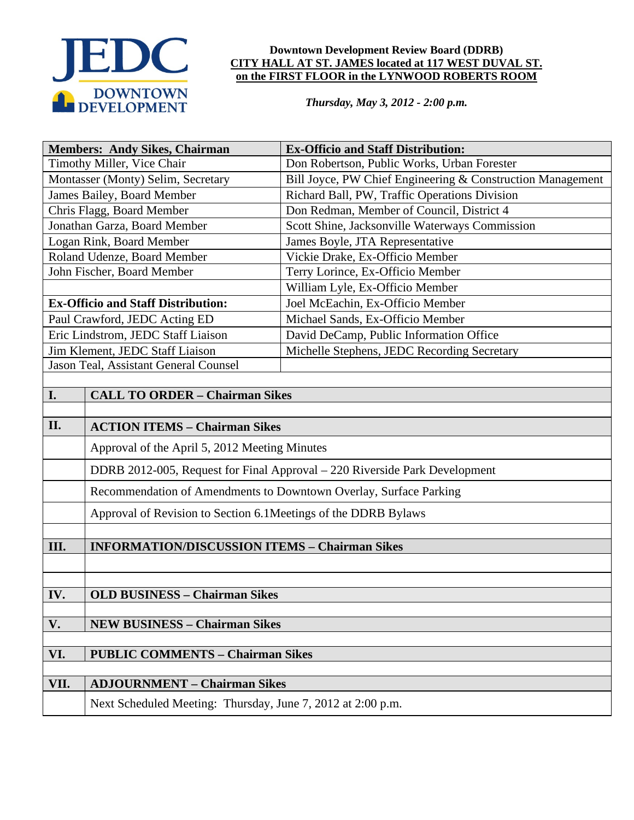

### **Downtown Development Review Board (DDRB) CITY HALL AT ST. JAMES located at 117 WEST DUVAL ST. on the FIRST FLOOR in the LYNWOOD ROBERTS ROOM**

*Thursday, May 3, 2012 - 2:00 p.m.*

| <b>Members: Andy Sikes, Chairman</b>       |                                                                            | <b>Ex-Officio and Staff Distribution:</b>                  |  |  |  |
|--------------------------------------------|----------------------------------------------------------------------------|------------------------------------------------------------|--|--|--|
| Timothy Miller, Vice Chair                 |                                                                            | Don Robertson, Public Works, Urban Forester                |  |  |  |
| Montasser (Monty) Selim, Secretary         |                                                                            | Bill Joyce, PW Chief Engineering & Construction Management |  |  |  |
| James Bailey, Board Member                 |                                                                            | Richard Ball, PW, Traffic Operations Division              |  |  |  |
| Chris Flagg, Board Member                  |                                                                            | Don Redman, Member of Council, District 4                  |  |  |  |
| Jonathan Garza, Board Member               |                                                                            | Scott Shine, Jacksonville Waterways Commission             |  |  |  |
| Logan Rink, Board Member                   |                                                                            | James Boyle, JTA Representative                            |  |  |  |
| Roland Udenze, Board Member                |                                                                            | Vickie Drake, Ex-Officio Member                            |  |  |  |
|                                            | John Fischer, Board Member                                                 | Terry Lorince, Ex-Officio Member                           |  |  |  |
|                                            |                                                                            | William Lyle, Ex-Officio Member                            |  |  |  |
| <b>Ex-Officio and Staff Distribution:</b>  |                                                                            | Joel McEachin, Ex-Officio Member                           |  |  |  |
| Paul Crawford, JEDC Acting ED              |                                                                            | Michael Sands, Ex-Officio Member                           |  |  |  |
| Eric Lindstrom, JEDC Staff Liaison         |                                                                            | David DeCamp, Public Information Office                    |  |  |  |
| Jim Klement, JEDC Staff Liaison            |                                                                            | Michelle Stephens, JEDC Recording Secretary                |  |  |  |
| Jason Teal, Assistant General Counsel      |                                                                            |                                                            |  |  |  |
|                                            |                                                                            |                                                            |  |  |  |
| I.                                         | <b>CALL TO ORDER - Chairman Sikes</b>                                      |                                                            |  |  |  |
|                                            |                                                                            |                                                            |  |  |  |
| II.                                        | <b>ACTION ITEMS - Chairman Sikes</b>                                       |                                                            |  |  |  |
|                                            | Approval of the April 5, 2012 Meeting Minutes                              |                                                            |  |  |  |
|                                            | DDRB 2012-005, Request for Final Approval - 220 Riverside Park Development |                                                            |  |  |  |
|                                            | Recommendation of Amendments to Downtown Overlay, Surface Parking          |                                                            |  |  |  |
|                                            | Approval of Revision to Section 6.1 Meetings of the DDRB Bylaws            |                                                            |  |  |  |
|                                            |                                                                            |                                                            |  |  |  |
| III.                                       | <b>INFORMATION/DISCUSSION ITEMS - Chairman Sikes</b>                       |                                                            |  |  |  |
|                                            |                                                                            |                                                            |  |  |  |
|                                            |                                                                            |                                                            |  |  |  |
| IV.                                        | <b>OLD BUSINESS - Chairman Sikes</b>                                       |                                                            |  |  |  |
|                                            |                                                                            |                                                            |  |  |  |
| V.<br><b>NEW BUSINESS - Chairman Sikes</b> |                                                                            |                                                            |  |  |  |
| VI.                                        | <b>PUBLIC COMMENTS - Chairman Sikes</b>                                    |                                                            |  |  |  |
|                                            |                                                                            |                                                            |  |  |  |
| VII.                                       | <b>ADJOURNMENT - Chairman Sikes</b>                                        |                                                            |  |  |  |
|                                            | Next Scheduled Meeting: Thursday, June 7, 2012 at 2:00 p.m.                |                                                            |  |  |  |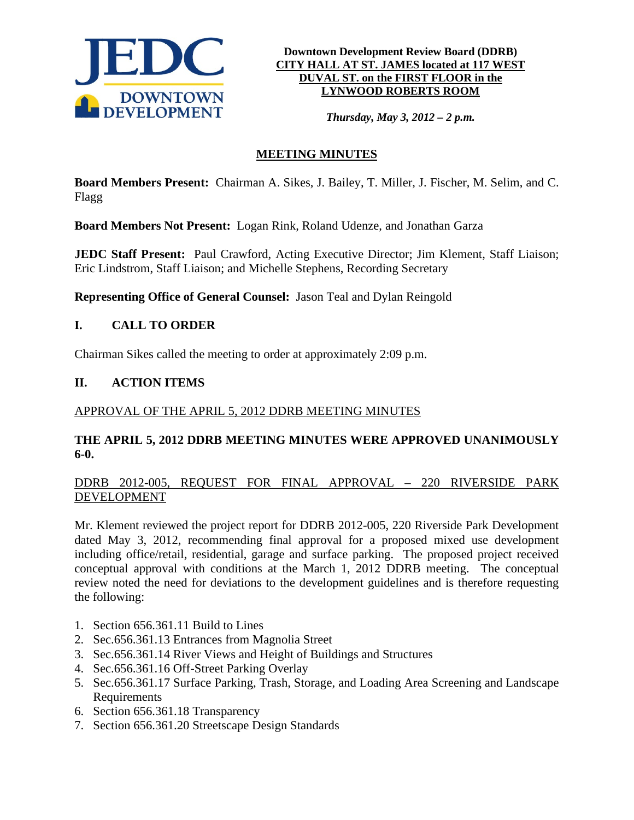

**Downtown Development Review Board (DDRB) CITY HALL AT ST. JAMES located at 117 WEST DUVAL ST. on the FIRST FLOOR in the LYNWOOD ROBERTS ROOM**

*Thursday, May 3, 2012 – 2 p.m.*

# **MEETING MINUTES**

**Board Members Present:** Chairman A. Sikes, J. Bailey, T. Miller, J. Fischer, M. Selim, and C. Flagg

**Board Members Not Present:** Logan Rink, Roland Udenze, and Jonathan Garza

**JEDC Staff Present:** Paul Crawford, Acting Executive Director; Jim Klement, Staff Liaison; Eric Lindstrom, Staff Liaison; and Michelle Stephens, Recording Secretary

**Representing Office of General Counsel:** Jason Teal and Dylan Reingold

# **I. CALL TO ORDER**

Chairman Sikes called the meeting to order at approximately 2:09 p.m.

# **II. ACTION ITEMS**

### APPROVAL OF THE APRIL 5, 2012 DDRB MEETING MINUTES

### **THE APRIL 5, 2012 DDRB MEETING MINUTES WERE APPROVED UNANIMOUSLY 6-0.**

# DDRB 2012-005, REQUEST FOR FINAL APPROVAL – 220 RIVERSIDE PARK DEVELOPMENT

Mr. Klement reviewed the project report for DDRB 2012-005, 220 Riverside Park Development dated May 3, 2012, recommending final approval for a proposed mixed use development including office/retail, residential, garage and surface parking. The proposed project received conceptual approval with conditions at the March 1, 2012 DDRB meeting. The conceptual review noted the need for deviations to the development guidelines and is therefore requesting the following:

- 1. Section 656.361.11 Build to Lines
- 2. Sec.656.361.13 Entrances from Magnolia Street
- 3. Sec.656.361.14 River Views and Height of Buildings and Structures
- 4. Sec.656.361.16 Off-Street Parking Overlay
- 5. Sec.656.361.17 Surface Parking, Trash, Storage, and Loading Area Screening and Landscape Requirements
- 6. Section 656.361.18 Transparency
- 7. Section 656.361.20 Streetscape Design Standards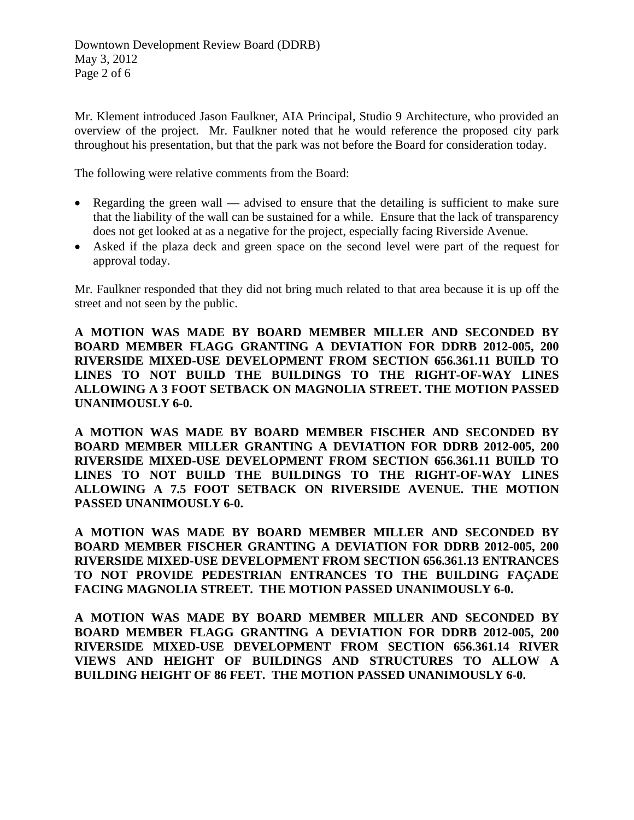Mr. Klement introduced Jason Faulkner, AIA Principal, Studio 9 Architecture, who provided an overview of the project. Mr. Faulkner noted that he would reference the proposed city park throughout his presentation, but that the park was not before the Board for consideration today.

The following were relative comments from the Board:

- Regarding the green wall advised to ensure that the detailing is sufficient to make sure that the liability of the wall can be sustained for a while. Ensure that the lack of transparency does not get looked at as a negative for the project, especially facing Riverside Avenue.
- Asked if the plaza deck and green space on the second level were part of the request for approval today.

Mr. Faulkner responded that they did not bring much related to that area because it is up off the street and not seen by the public.

**A MOTION WAS MADE BY BOARD MEMBER MILLER AND SECONDED BY BOARD MEMBER FLAGG GRANTING A DEVIATION FOR DDRB 2012-005, 200 RIVERSIDE MIXED-USE DEVELOPMENT FROM SECTION 656.361.11 BUILD TO LINES TO NOT BUILD THE BUILDINGS TO THE RIGHT-OF-WAY LINES ALLOWING A 3 FOOT SETBACK ON MAGNOLIA STREET. THE MOTION PASSED UNANIMOUSLY 6-0.** 

**A MOTION WAS MADE BY BOARD MEMBER FISCHER AND SECONDED BY BOARD MEMBER MILLER GRANTING A DEVIATION FOR DDRB 2012-005, 200 RIVERSIDE MIXED-USE DEVELOPMENT FROM SECTION 656.361.11 BUILD TO LINES TO NOT BUILD THE BUILDINGS TO THE RIGHT-OF-WAY LINES ALLOWING A 7.5 FOOT SETBACK ON RIVERSIDE AVENUE. THE MOTION PASSED UNANIMOUSLY 6-0.** 

**A MOTION WAS MADE BY BOARD MEMBER MILLER AND SECONDED BY BOARD MEMBER FISCHER GRANTING A DEVIATION FOR DDRB 2012-005, 200 RIVERSIDE MIXED-USE DEVELOPMENT FROM SECTION 656.361.13 ENTRANCES TO NOT PROVIDE PEDESTRIAN ENTRANCES TO THE BUILDING FAÇADE FACING MAGNOLIA STREET. THE MOTION PASSED UNANIMOUSLY 6-0.** 

**A MOTION WAS MADE BY BOARD MEMBER MILLER AND SECONDED BY BOARD MEMBER FLAGG GRANTING A DEVIATION FOR DDRB 2012-005, 200 RIVERSIDE MIXED-USE DEVELOPMENT FROM SECTION 656.361.14 RIVER VIEWS AND HEIGHT OF BUILDINGS AND STRUCTURES TO ALLOW A BUILDING HEIGHT OF 86 FEET. THE MOTION PASSED UNANIMOUSLY 6-0.**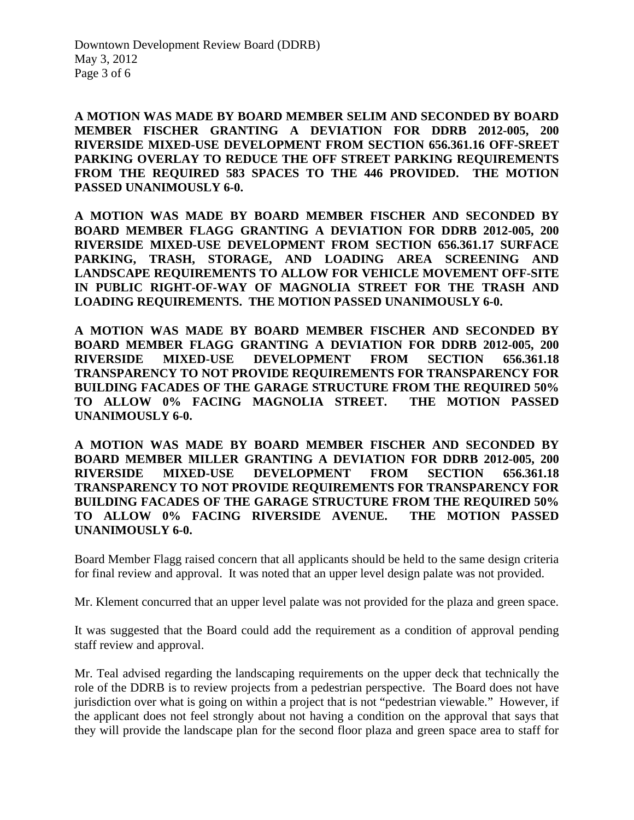**A MOTION WAS MADE BY BOARD MEMBER SELIM AND SECONDED BY BOARD MEMBER FISCHER GRANTING A DEVIATION FOR DDRB 2012-005, 200 RIVERSIDE MIXED-USE DEVELOPMENT FROM SECTION 656.361.16 OFF-SREET PARKING OVERLAY TO REDUCE THE OFF STREET PARKING REQUIREMENTS FROM THE REQUIRED 583 SPACES TO THE 446 PROVIDED. THE MOTION PASSED UNANIMOUSLY 6-0.** 

**A MOTION WAS MADE BY BOARD MEMBER FISCHER AND SECONDED BY BOARD MEMBER FLAGG GRANTING A DEVIATION FOR DDRB 2012-005, 200 RIVERSIDE MIXED-USE DEVELOPMENT FROM SECTION 656.361.17 SURFACE PARKING, TRASH, STORAGE, AND LOADING AREA SCREENING AND LANDSCAPE REQUIREMENTS TO ALLOW FOR VEHICLE MOVEMENT OFF-SITE IN PUBLIC RIGHT-OF-WAY OF MAGNOLIA STREET FOR THE TRASH AND LOADING REQUIREMENTS. THE MOTION PASSED UNANIMOUSLY 6-0.** 

**A MOTION WAS MADE BY BOARD MEMBER FISCHER AND SECONDED BY BOARD MEMBER FLAGG GRANTING A DEVIATION FOR DDRB 2012-005, 200 RIVERSIDE MIXED-USE DEVELOPMENT FROM SECTION 656.361.18 TRANSPARENCY TO NOT PROVIDE REQUIREMENTS FOR TRANSPARENCY FOR BUILDING FACADES OF THE GARAGE STRUCTURE FROM THE REQUIRED 50% TO ALLOW 0% FACING MAGNOLIA STREET. THE MOTION PASSED UNANIMOUSLY 6-0.** 

**A MOTION WAS MADE BY BOARD MEMBER FISCHER AND SECONDED BY BOARD MEMBER MILLER GRANTING A DEVIATION FOR DDRB 2012-005, 200 RIVERSIDE MIXED-USE DEVELOPMENT FROM SECTION 656.361.18 TRANSPARENCY TO NOT PROVIDE REQUIREMENTS FOR TRANSPARENCY FOR BUILDING FACADES OF THE GARAGE STRUCTURE FROM THE REQUIRED 50% TO ALLOW 0% FACING RIVERSIDE AVENUE. THE MOTION PASSED UNANIMOUSLY 6-0.** 

Board Member Flagg raised concern that all applicants should be held to the same design criteria for final review and approval. It was noted that an upper level design palate was not provided.

Mr. Klement concurred that an upper level palate was not provided for the plaza and green space.

It was suggested that the Board could add the requirement as a condition of approval pending staff review and approval.

Mr. Teal advised regarding the landscaping requirements on the upper deck that technically the role of the DDRB is to review projects from a pedestrian perspective. The Board does not have jurisdiction over what is going on within a project that is not "pedestrian viewable." However, if the applicant does not feel strongly about not having a condition on the approval that says that they will provide the landscape plan for the second floor plaza and green space area to staff for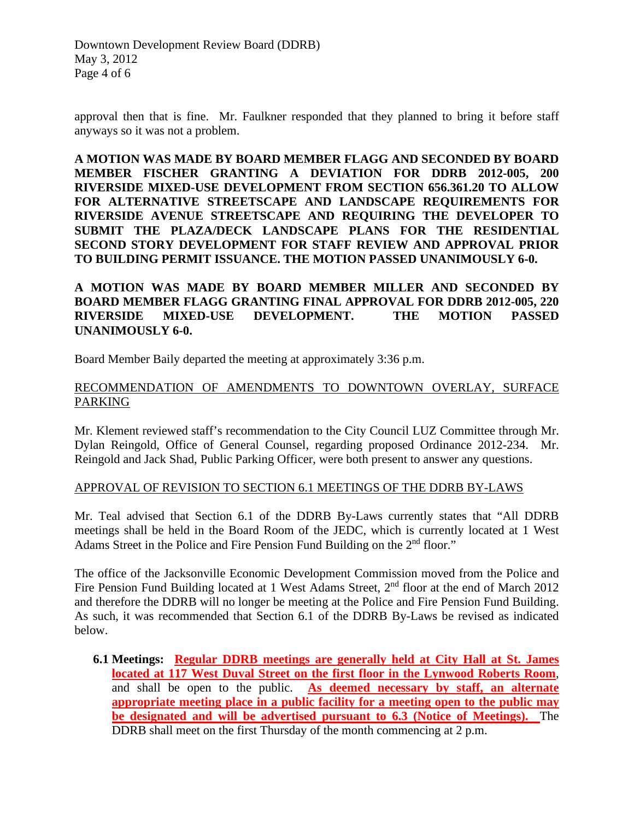Downtown Development Review Board (DDRB) May 3, 2012 Page 4 of 6

approval then that is fine. Mr. Faulkner responded that they planned to bring it before staff anyways so it was not a problem.

**A MOTION WAS MADE BY BOARD MEMBER FLAGG AND SECONDED BY BOARD MEMBER FISCHER GRANTING A DEVIATION FOR DDRB 2012-005, 200 RIVERSIDE MIXED-USE DEVELOPMENT FROM SECTION 656.361.20 TO ALLOW FOR ALTERNATIVE STREETSCAPE AND LANDSCAPE REQUIREMENTS FOR RIVERSIDE AVENUE STREETSCAPE AND REQUIRING THE DEVELOPER TO SUBMIT THE PLAZA/DECK LANDSCAPE PLANS FOR THE RESIDENTIAL SECOND STORY DEVELOPMENT FOR STAFF REVIEW AND APPROVAL PRIOR TO BUILDING PERMIT ISSUANCE. THE MOTION PASSED UNANIMOUSLY 6-0.** 

**A MOTION WAS MADE BY BOARD MEMBER MILLER AND SECONDED BY BOARD MEMBER FLAGG GRANTING FINAL APPROVAL FOR DDRB 2012-005, 220 RIVERSIDE MIXED-USE DEVELOPMENT. THE MOTION PASSED UNANIMOUSLY 6-0.**

Board Member Baily departed the meeting at approximately 3:36 p.m.

### RECOMMENDATION OF AMENDMENTS TO DOWNTOWN OVERLAY, SURFACE PARKING

Mr. Klement reviewed staff's recommendation to the City Council LUZ Committee through Mr. Dylan Reingold, Office of General Counsel, regarding proposed Ordinance 2012-234. Mr. Reingold and Jack Shad, Public Parking Officer, were both present to answer any questions.

### APPROVAL OF REVISION TO SECTION 6.1 MEETINGS OF THE DDRB BY-LAWS

Mr. Teal advised that Section 6.1 of the DDRB By-Laws currently states that "All DDRB meetings shall be held in the Board Room of the JEDC, which is currently located at 1 West Adams Street in the Police and Fire Pension Fund Building on the 2<sup>nd</sup> floor."

The office of the Jacksonville Economic Development Commission moved from the Police and Fire Pension Fund Building located at 1 West Adams Street,  $2<sup>nd</sup>$  floor at the end of March 2012 and therefore the DDRB will no longer be meeting at the Police and Fire Pension Fund Building. As such, it was recommended that Section 6.1 of the DDRB By-Laws be revised as indicated below.

**6.1 Meetings: Regular DDRB meetings are generally held at City Hall at St. James located at 117 West Duval Street on the first floor in the Lynwood Roberts Room**, and shall be open to the public. **As deemed necessary by staff, an alternate appropriate meeting place in a public facility for a meeting open to the public may be designated and will be advertised pursuant to 6.3 (Notice of Meetings).** The DDRB shall meet on the first Thursday of the month commencing at 2 p.m.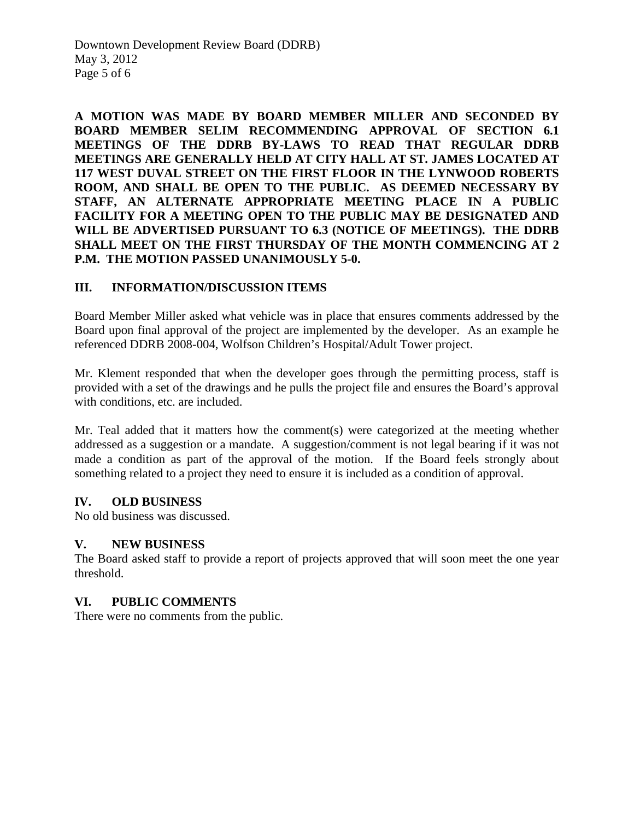**A MOTION WAS MADE BY BOARD MEMBER MILLER AND SECONDED BY BOARD MEMBER SELIM RECOMMENDING APPROVAL OF SECTION 6.1 MEETINGS OF THE DDRB BY-LAWS TO READ THAT REGULAR DDRB MEETINGS ARE GENERALLY HELD AT CITY HALL AT ST. JAMES LOCATED AT 117 WEST DUVAL STREET ON THE FIRST FLOOR IN THE LYNWOOD ROBERTS ROOM, AND SHALL BE OPEN TO THE PUBLIC. AS DEEMED NECESSARY BY STAFF, AN ALTERNATE APPROPRIATE MEETING PLACE IN A PUBLIC FACILITY FOR A MEETING OPEN TO THE PUBLIC MAY BE DESIGNATED AND WILL BE ADVERTISED PURSUANT TO 6.3 (NOTICE OF MEETINGS). THE DDRB SHALL MEET ON THE FIRST THURSDAY OF THE MONTH COMMENCING AT 2 P.M. THE MOTION PASSED UNANIMOUSLY 5-0.** 

# **III. INFORMATION/DISCUSSION ITEMS**

Board Member Miller asked what vehicle was in place that ensures comments addressed by the Board upon final approval of the project are implemented by the developer. As an example he referenced DDRB 2008-004, Wolfson Children's Hospital/Adult Tower project.

Mr. Klement responded that when the developer goes through the permitting process, staff is provided with a set of the drawings and he pulls the project file and ensures the Board's approval with conditions, etc. are included.

Mr. Teal added that it matters how the comment(s) were categorized at the meeting whether addressed as a suggestion or a mandate. A suggestion/comment is not legal bearing if it was not made a condition as part of the approval of the motion. If the Board feels strongly about something related to a project they need to ensure it is included as a condition of approval.

### **IV. OLD BUSINESS**

No old business was discussed.

# **V. NEW BUSINESS**

The Board asked staff to provide a report of projects approved that will soon meet the one year threshold.

### **VI. PUBLIC COMMENTS**

There were no comments from the public.